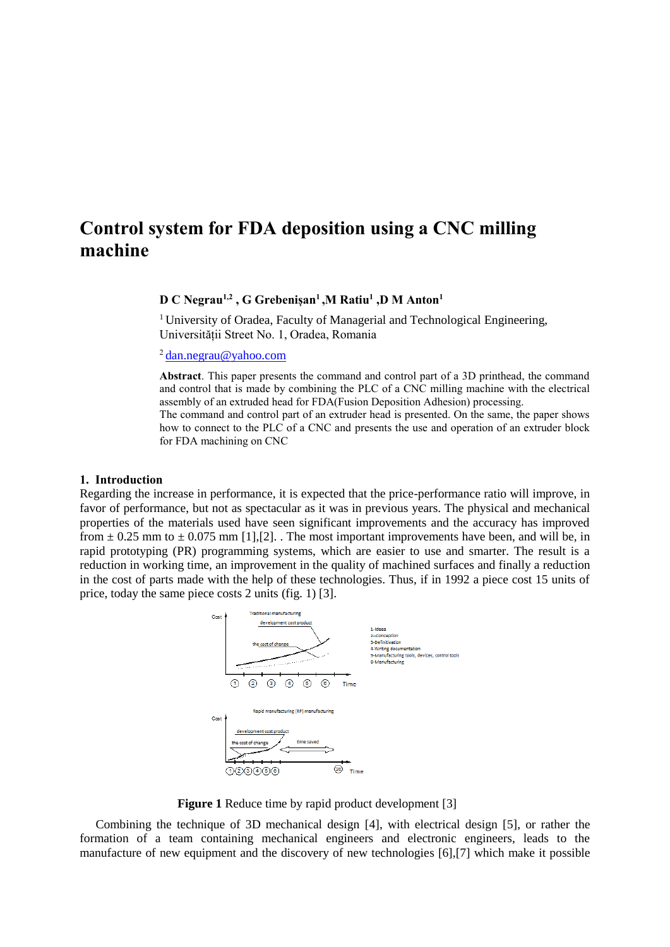# **Control system for FDA deposition using a CNC milling machine**

### **D C Negrau1,2 , G Grebenișan<sup>1</sup> ,M Ratiu<sup>1</sup> ,D M Anton<sup>1</sup>**

<sup>1</sup> University of Oradea, Faculty of Managerial and Technological Engineering, Universității Street No. 1, Oradea, Romania

<sup>2</sup>[dan.negrau@yahoo.com](mailto:dan.negrau@yahoo.com)

**Abstract**. This paper presents the command and control part of a 3D printhead, the command and control that is made by combining the PLC of a CNC milling machine with the electrical assembly of an extruded head for FDA(Fusion Deposition Adhesion) processing. The command and control part of an extruder head is presented. On the same, the paper shows how to connect to the PLC of a CNC and presents the use and operation of an extruder block for FDA machining on CNC

#### **1. Introduction**

Regarding the increase in performance, it is expected that the price-performance ratio will improve, in favor of performance, but not as spectacular as it was in previous years. The physical and mechanical properties of the materials used have seen significant improvements and the accuracy has improved from  $\pm$  0.25 mm to  $\pm$  0.075 mm [1],[2]. The most important improvements have been, and will be, in rapid prototyping (PR) programming systems, which are easier to use and smarter. The result is a reduction in working time, an improvement in the quality of machined surfaces and finally a reduction in the cost of parts made with the help of these technologies. Thus, if in 1992 a piece cost 15 units of price, today the same piece costs 2 units (fig. 1) [3].



**Figure 1** Reduce time by rapid product development [3]

Combining the technique of 3D mechanical design [4], with electrical design [5], or rather the formation of a team containing mechanical engineers and electronic engineers, leads to the manufacture of new equipment and the discovery of new technologies [6],[7] which make it possible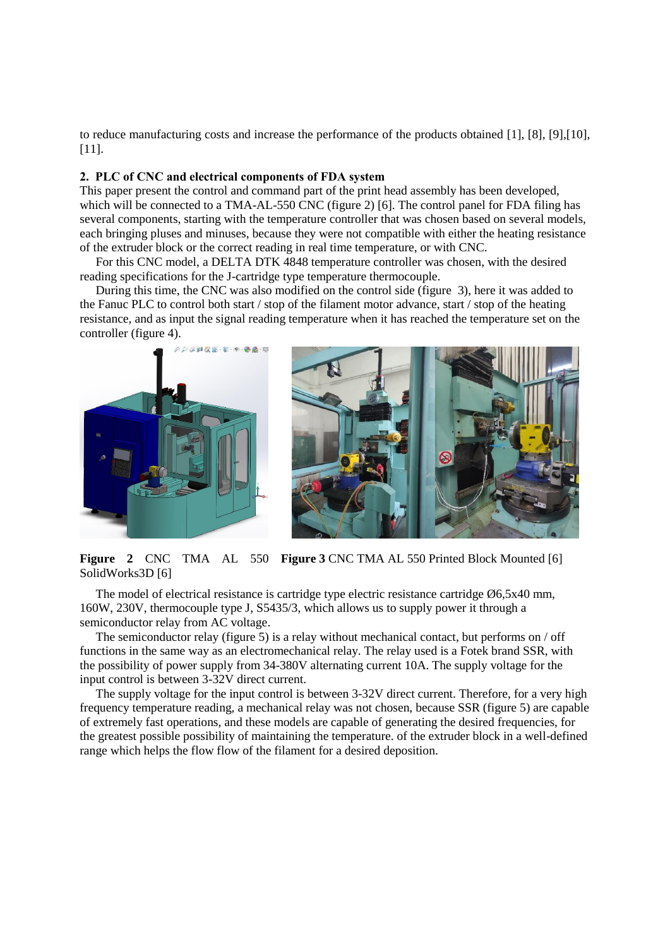to reduce manufacturing costs and increase the performance of the products obtained [1], [8], [9],[10], [11].

#### **2. PLC of CNC and electrical components of FDA system**

This paper present the control and command part of the print head assembly has been developed, which will be connected to a TMA-AL-550 CNC (figure 2) [6]. The control panel for FDA filing has several components, starting with the temperature controller that was chosen based on several models, each bringing pluses and minuses, because they were not compatible with either the heating resistance of the extruder block or the correct reading in real time temperature, or with CNC.

For this CNC model, a DELTA DTK 4848 temperature controller was chosen, with the desired reading specifications for the J-cartridge type temperature thermocouple.

During this time, the CNC was also modified on the control side (figure 3), here it was added to the Fanuc PLC to control both start / stop of the filament motor advance, start / stop of the heating resistance, and as input the signal reading temperature when it has reached the temperature set on the controller (figure 4).





**Figure 2 CNC TMA AL 550 Figure 3 CNC TMA AL 550 Printed Block Mounted [6]** SolidWorks3D [6]

The model of electrical resistance is cartridge type electric resistance cartridge  $\varnothing$ 6,5x40 mm, 160W, 230V, thermocouple type J, S5435/3, which allows us to supply power it through a semiconductor relay from AC voltage.

The semiconductor relay (figure 5) is a relay without mechanical contact, but performs on / off functions in the same way as an electromechanical relay. The relay used is a Fotek brand SSR, with the possibility of power supply from 34-380V alternating current 10A. The supply voltage for the input control is between 3-32V direct current.

The supply voltage for the input control is between 3-32V direct current. Therefore, for a very high frequency temperature reading, a mechanical relay was not chosen, because SSR (figure 5) are capable of extremely fast operations, and these models are capable of generating the desired frequencies, for the greatest possible possibility of maintaining the temperature. of the extruder block in a well-defined range which helps the flow flow of the filament for a desired deposition.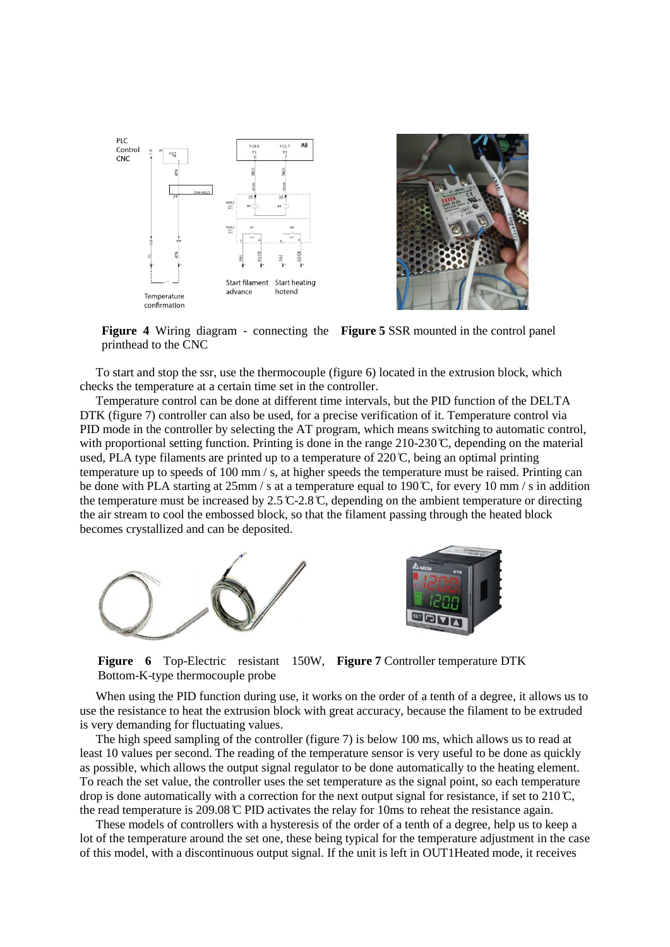

**Figure 4** Wiring diagram - connecting the **Figure 5** SSR mounted in the control panel printhead to the CNC

To start and stop the ssr, use the thermocouple (figure 6) located in the extrusion block, which checks the temperature at a certain time set in the controller.

Temperature control can be done at different time intervals, but the PID function of the DELTA DTK (figure 7) controller can also be used, for a precise verification of it. Temperature control via PID mode in the controller by selecting the AT program, which means switching to automatic control, with proportional setting function. Printing is done in the range  $210-230 \degree$ C, depending on the material used, PLA type filaments are printed up to a temperature of  $220^{\circ}$ C, being an optimal printing temperature up to speeds of 100 mm / s, at higher speeds the temperature must be raised. Printing can be done with PLA starting at 25mm / s at a temperature equal to 190 °C, for every 10 mm / s in addition the temperature must be increased by  $2.5^{\circ}$  C-2.8 °C, depending on the ambient temperature or directing the air stream to cool the embossed block, so that the filament passing through the heated block becomes crystallized and can be deposited.



**Figure 6** Top-Electric resistant 150W, **Figure 7** Controller temperature DTK Bottom-K-type thermocouple probe

When using the PID function during use, it works on the order of a tenth of a degree, it allows us to use the resistance to heat the extrusion block with great accuracy, because the filament to be extruded is very demanding for fluctuating values.

The high speed sampling of the controller (figure 7) is below 100 ms, which allows us to read at least 10 values per second. The reading of the temperature sensor is very useful to be done as quickly as possible, which allows the output signal regulator to be done automatically to the heating element. To reach the set value, the controller uses the set temperature as the signal point, so each temperature drop is done automatically with a correction for the next output signal for resistance, if set to  $210 \degree C$ , the read temperature is  $209.08 \, \text{CD}$  PID activates the relay for 10ms to reheat the resistance again.

These models of controllers with a hysteresis of the order of a tenth of a degree, help us to keep a lot of the temperature around the set one, these being typical for the temperature adjustment in the case of this model, with a discontinuous output signal. If the unit is left in OUT1Heated mode, it receives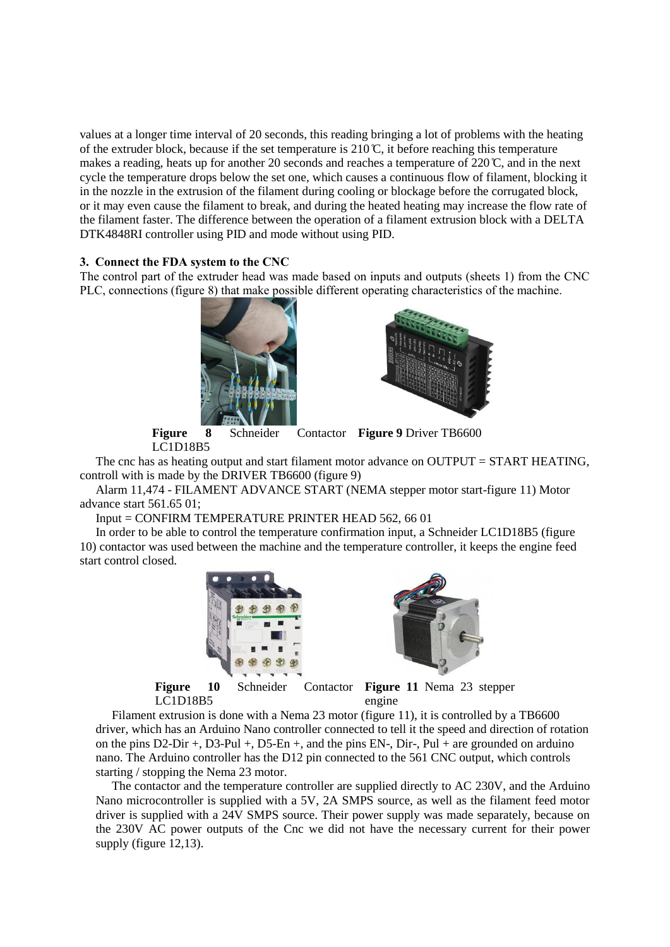values at a longer time interval of 20 seconds, this reading bringing a lot of problems with the heating of the extruder block, because if the set temperature is  $210^{\circ}$ , it before reaching this temperature makes a reading, heats up for another 20 seconds and reaches a temperature of  $220^\circ\text{C}$ , and in the next cycle the temperature drops below the set one, which causes a continuous flow of filament, blocking it in the nozzle in the extrusion of the filament during cooling or blockage before the corrugated block, or it may even cause the filament to break, and during the heated heating may increase the flow rate of the filament faster. The difference between the operation of a filament extrusion block with a DELTA DTK4848RI controller using PID and mode without using PID.

#### **3. Connect the FDA system to the CNC**

The control part of the extruder head was made based on inputs and outputs (sheets 1) from the CNC PLC, connections (figure 8) that make possible different operating characteristics of the machine.





**Figure 8** Schneider Contactor **Figure 9** Driver TB6600 LC1D18B5

The cnc has as heating output and start filament motor advance on OUTPUT = START HEATING, controll with is made by the DRIVER TB6600 (figure 9)

Alarm 11,474 - FILAMENT ADVANCE START (NEMA stepper motor start-figure 11) Motor advance start 561.65 01;

Input = CONFIRM TEMPERATURE PRINTER HEAD 562, 66 01

In order to be able to control the temperature confirmation input, a Schneider LC1D18B5 (figure 10) contactor was used between the machine and the temperature controller, it keeps the engine feed start control closed.





**Figure 10** Schneider Contactor LC1D18B5

**Figure 11** Nema 23 stepper engine

Filament extrusion is done with a Nema 23 motor (figure 11), it is controlled by a TB6600 driver, which has an Arduino Nano controller connected to tell it the speed and direction of rotation on the pins  $D2-Dir +$ ,  $D3-Pul +$ ,  $D5-En +$ , and the pins  $EN-$ ,  $Dir-$ ,  $Pul +$  are grounded on arduino nano. The Arduino controller has the D12 pin connected to the 561 CNC output, which controls starting / stopping the Nema 23 motor.

The contactor and the temperature controller are supplied directly to AC 230V, and the Arduino Nano microcontroller is supplied with a 5V, 2A SMPS source, as well as the filament feed motor driver is supplied with a 24V SMPS source. Their power supply was made separately, because on the 230V AC power outputs of the Cnc we did not have the necessary current for their power supply (figure 12,13).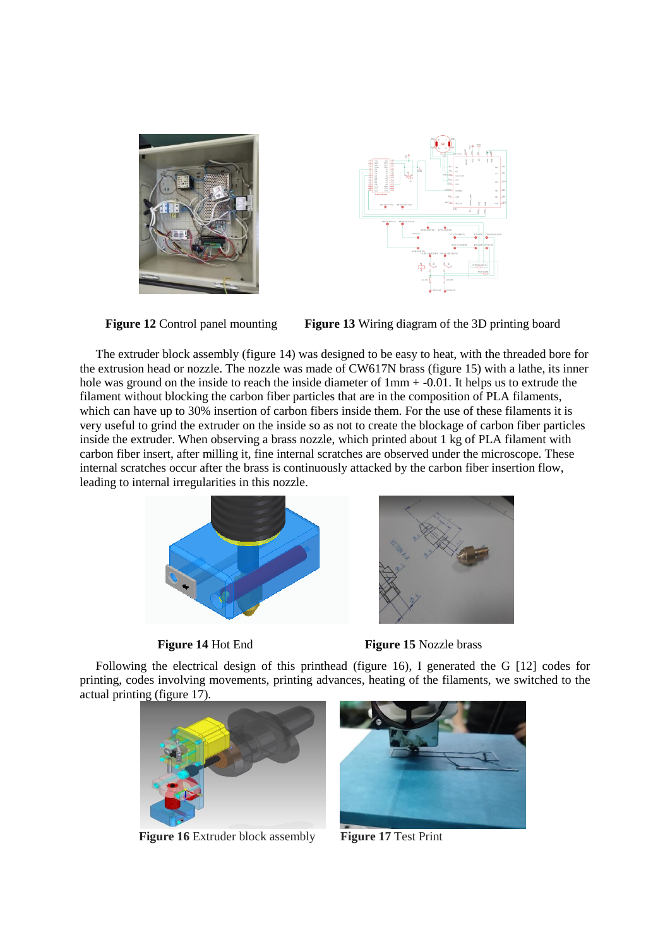





**Figure 12** Control panel mounting **Figure 13** Wiring diagram of the 3D printing board

The extruder block assembly (figure 14) was designed to be easy to heat, with the threaded bore for the extrusion head or nozzle. The nozzle was made of CW617N brass (figure 15) with a lathe, its inner hole was ground on the inside to reach the inside diameter of  $1mm + -0.01$ . It helps us to extrude the filament without blocking the carbon fiber particles that are in the composition of PLA filaments, which can have up to 30% insertion of carbon fibers inside them. For the use of these filaments it is very useful to grind the extruder on the inside so as not to create the blockage of carbon fiber particles inside the extruder. When observing a brass nozzle, which printed about 1 kg of PLA filament with carbon fiber insert, after milling it, fine internal scratches are observed under the microscope. These internal scratches occur after the brass is continuously attacked by the carbon fiber insertion flow, leading to internal irregularities in this nozzle.





**Figure 14** Hot End **Figure 15** Nozzle brass

Following the electrical design of this printhead (figure 16), I generated the G [12] codes for printing, codes involving movements, printing advances, heating of the filaments, we switched to the actual printing (figure 17).



**Figure 16** Extruder block assembly **Figure 17** Test Print